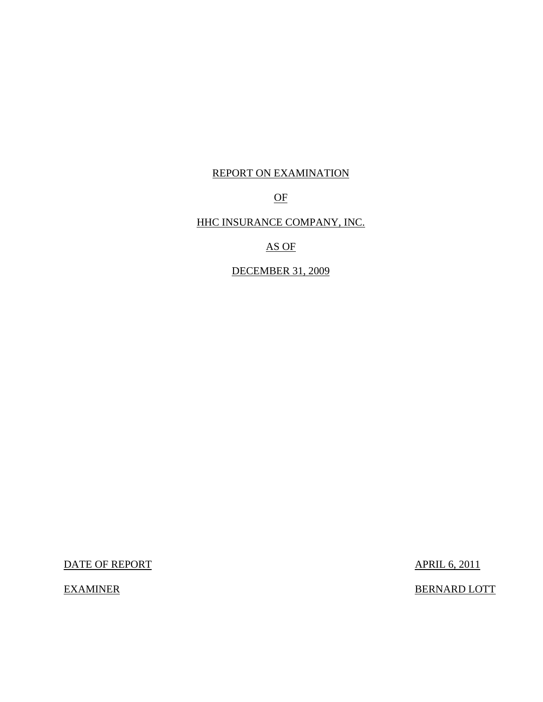# REPORT ON EXAMINATION

# OF

# HHC INSURANCE COMPANY, INC.

AS OF

DECEMBER 31, 2009

DATE OF REPORT APRIL 6, 2011

EXAMINER BERNARD LOTT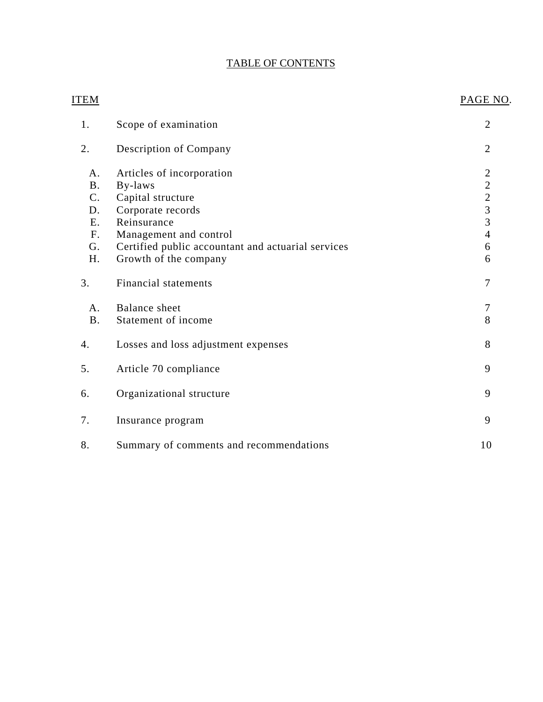# TABLE OF CONTENTS

| <b>ITEM</b>    |                                                    | PAGE NO.                                        |
|----------------|----------------------------------------------------|-------------------------------------------------|
| 1.             | Scope of examination                               | $\overline{2}$                                  |
| 2.             | Description of Company                             | $\overline{2}$                                  |
| A.             | Articles of incorporation                          | $\overline{2}$                                  |
| <b>B.</b>      | By-laws                                            |                                                 |
| C <sub>1</sub> | Capital structure                                  |                                                 |
| D.             | Corporate records                                  | $\begin{array}{c} 2 \\ 2 \\ 3 \\ 3 \end{array}$ |
| E.             | Reinsurance                                        |                                                 |
| F.             | Management and control                             | $\overline{4}$                                  |
| G.             | Certified public accountant and actuarial services | 6                                               |
| H.             | Growth of the company                              | 6                                               |
| 3.             | <b>Financial statements</b>                        | $\overline{7}$                                  |
| A <sub>1</sub> | <b>Balance</b> sheet                               | 7                                               |
| <b>B.</b>      | Statement of income                                | 8                                               |
| 4.             | Losses and loss adjustment expenses                | 8                                               |
| 5.             | Article 70 compliance                              | 9                                               |
| 6.             | Organizational structure                           | 9                                               |
| 7.             | Insurance program                                  | 9                                               |
| 8.             | Summary of comments and recommendations            | 10                                              |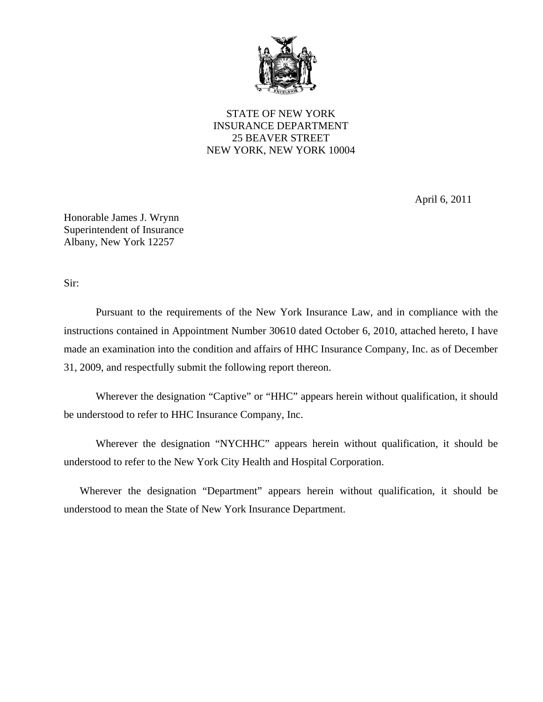

STATE OF NEW YORK INSURANCE DEPARTMENT 25 BEAVER STREET NEW YORK, NEW YORK 10004

April 6, 2011

Honorable James J. Wrynn Superintendent of Insurance Albany, New York 12257

Sir:

Pursuant to the requirements of the New York Insurance Law, and in compliance with the instructions contained in Appointment Number 30610 dated October 6, 2010, attached hereto, I have made an examination into the condition and affairs of HHC Insurance Company, Inc. as of December 31, 2009, and respectfully submit the following report thereon.

 Wherever the designation "Captive" or "HHC" appears herein without qualification, it should be understood to refer to HHC Insurance Company, Inc.

Wherever the designation "NYCHHC" appears herein without qualification, it should be understood to refer to the New York City Health and Hospital Corporation.

Wherever the designation "Department" appears herein without qualification, it should be understood to mean the State of New York Insurance Department.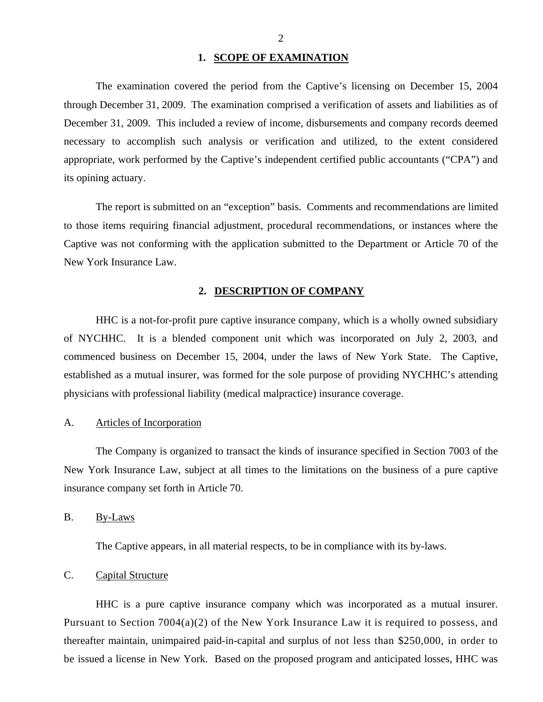#### 1. **SCOPE OF EXAMINATION**

<span id="page-3-0"></span>The examination covered the period from the Captive's licensing on December 15, 2004 through December 31, 2009. The examination comprised a verification of assets and liabilities as of December 31, 2009. This included a review of income, disbursements and company records deemed necessary to accomplish such analysis or verification and utilized, to the extent considered appropriate, work performed by the Captive's independent certified public accountants ("CPA") and its opining actuary.

The report is submitted on an "exception" basis. Comments and recommendations are limited to those items requiring financial adjustment, procedural recommendations, or instances where the Captive was not conforming with the application submitted to the Department or Article 70 of the New York Insurance Law.

#### **2. DESCRIPTION OF COMPANY**

HHC is a not-for-profit pure captive insurance company, which is a wholly owned subsidiary of NYCHHC. It is a blended component unit which was incorporated on July 2, 2003, and commenced business on December 15, 2004, under the laws of New York State. The Captive, established as a mutual insurer, was formed for the sole purpose of providing NYCHHC's attending physicians with professional liability (medical malpractice) insurance coverage.

# A. Articles of Incorporation

The Company is organized to transact the kinds of insurance specified in Section 7003 of the New York Insurance Law, subject at all times to the limitations on the business of a pure captive insurance company set forth in Article 70.

B. By-Laws

The Captive appears, in all material respects, to be in compliance with its by-laws.

# C. Capital Structure

HHC is a pure captive insurance company which was incorporated as a mutual insurer. Pursuant to Section 7004(a)(2) of the New York Insurance Law it is required to possess, and thereafter maintain, unimpaired paid-in-capital and surplus of not less than \$250,000, in order to be issued a license in New York. Based on the proposed program and anticipated losses, HHC was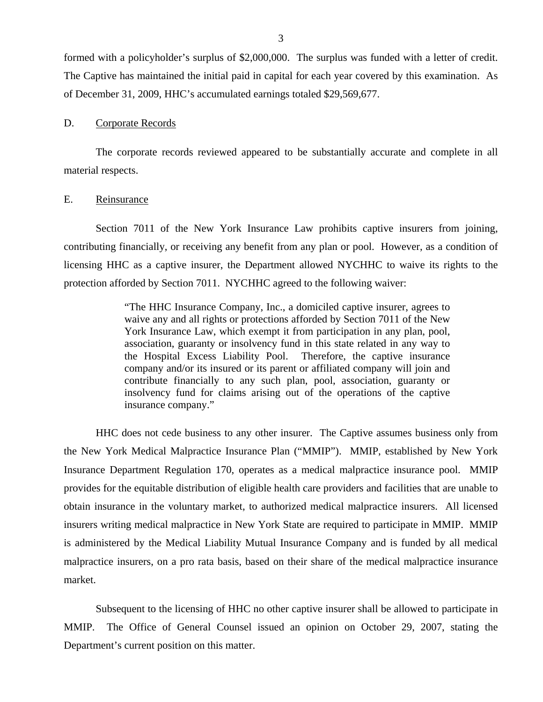<span id="page-4-0"></span>formed with a policyholder's surplus of \$2,000,000. The surplus was funded with a letter of credit. The Captive has maintained the initial paid in capital for each year covered by this examination. As of December 31, 2009, HHC's accumulated earnings totaled \$29,569,677.

#### D. Corporate Records

The corporate records reviewed appeared to be substantially accurate and complete in all material respects.

#### E. Reinsurance

Section 7011 of the New York Insurance Law prohibits captive insurers from joining, contributing financially, or receiving any benefit from any plan or pool. However, as a condition of licensing HHC as a captive insurer, the Department allowed NYCHHC to waive its rights to the protection afforded by Section 7011. NYCHHC agreed to the following waiver:

> "The HHC Insurance Company, Inc., a domiciled captive insurer, agrees to waive any and all rights or protections afforded by Section 7011 of the New York Insurance Law, which exempt it from participation in any plan, pool, association, guaranty or insolvency fund in this state related in any way to the Hospital Excess Liability Pool. Therefore, the captive insurance company and/or its insured or its parent or affiliated company will join and contribute financially to any such plan, pool, association, guaranty or insolvency fund for claims arising out of the operations of the captive insurance company."

HHC does not cede business to any other insurer. The Captive assumes business only from the New York Medical Malpractice Insurance Plan ("MMIP"). MMIP, established by New York Insurance Department Regulation 170, operates as a medical malpractice insurance pool. MMIP provides for the equitable distribution of eligible health care providers and facilities that are unable to obtain insurance in the voluntary market, to authorized medical malpractice insurers. All licensed insurers writing medical malpractice in New York State are required to participate in MMIP. MMIP is administered by the Medical Liability Mutual Insurance Company and is funded by all medical malpractice insurers, on a pro rata basis, based on their share of the medical malpractice insurance market.

Subsequent to the licensing of HHC no other captive insurer shall be allowed to participate in MMIP. The Office of General Counsel issued an opinion on October 29, 2007, stating the Department's current position on this matter.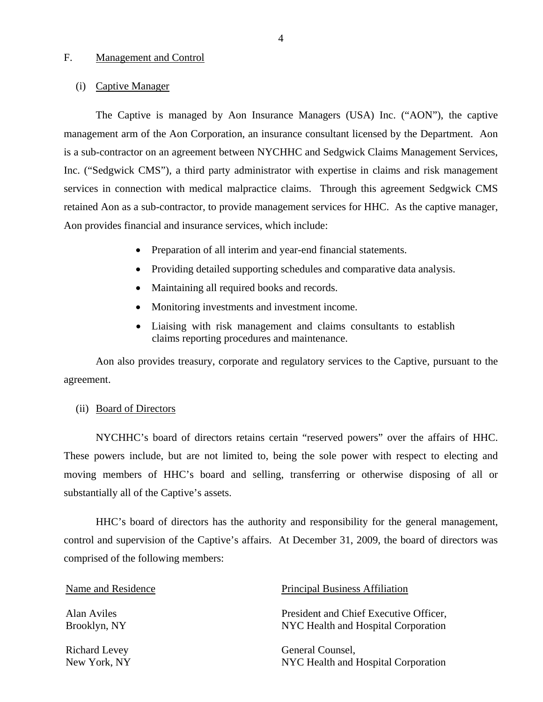#### <span id="page-5-0"></span>F. Management and Control

#### (i) Captive Manager

The Captive is managed by Aon Insurance Managers (USA) Inc. ("AON"), the captive management arm of the Aon Corporation, an insurance consultant licensed by the Department. Aon is a sub-contractor on an agreement between NYCHHC and Sedgwick Claims Management Services, Inc. ("Sedgwick CMS"), a third party administrator with expertise in claims and risk management services in connection with medical malpractice claims. Through this agreement Sedgwick CMS retained Aon as a sub-contractor, to provide management services for HHC. As the captive manager, Aon provides financial and insurance services, which include:

- Preparation of all interim and year-end financial statements.
- Providing detailed supporting schedules and comparative data analysis.
- Maintaining all required books and records.
- Monitoring investments and investment income.
- Liaising with risk management and claims consultants to establish claims reporting procedures and maintenance.

Aon also provides treasury, corporate and regulatory services to the Captive, pursuant to the agreement.

#### (ii) Board of Directors

NYCHHC's board of directors retains certain "reserved powers" over the affairs of HHC. These powers include, but are not limited to, being the sole power with respect to electing and moving members of HHC's board and selling, transferring or otherwise disposing of all or substantially all of the Captive's assets.

HHC's board of directors has the authority and responsibility for the general management, control and supervision of the Captive's affairs. At December 31, 2009, the board of directors was comprised of the following members:

| Name and Residence   | <b>Principal Business Affiliation</b>  |
|----------------------|----------------------------------------|
| Alan Aviles          | President and Chief Executive Officer, |
| Brooklyn, NY         | NYC Health and Hospital Corporation    |
| <b>Richard Levey</b> | General Counsel,                       |
| New York, NY         | NYC Health and Hospital Corporation    |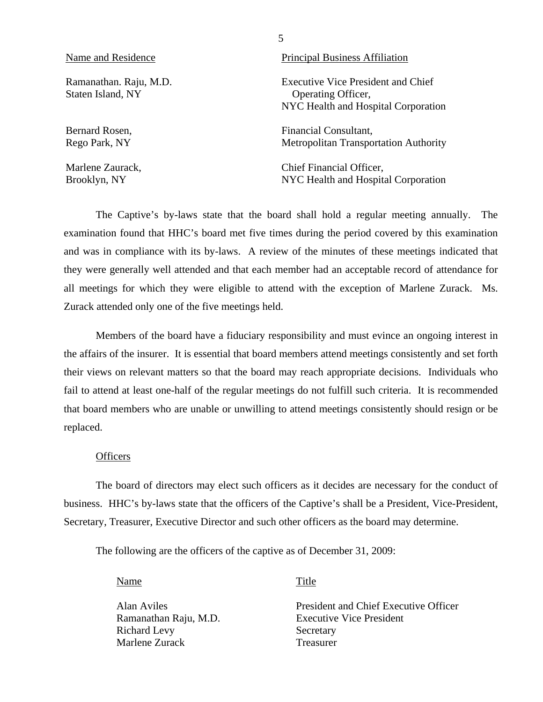| Name and Residence                          | <b>Principal Business Affiliation</b>                                                           |
|---------------------------------------------|-------------------------------------------------------------------------------------------------|
| Ramanathan. Raju, M.D.<br>Staten Island, NY | Executive Vice President and Chief<br>Operating Officer,<br>NYC Health and Hospital Corporation |
| Bernard Rosen,                              | Financial Consultant,                                                                           |
| Rego Park, NY                               | <b>Metropolitan Transportation Authority</b>                                                    |
| Marlene Zaurack,                            | Chief Financial Officer,                                                                        |
| Brooklyn, NY                                | NYC Health and Hospital Corporation                                                             |

5

The Captive's by-laws state that the board shall hold a regular meeting annually. The examination found that HHC's board met five times during the period covered by this examination and was in compliance with its by-laws. A review of the minutes of these meetings indicated that they were generally well attended and that each member had an acceptable record of attendance for all meetings for which they were eligible to attend with the exception of Marlene Zurack. Ms. Zurack attended only one of the five meetings held.

Members of the board have a fiduciary responsibility and must evince an ongoing interest in the affairs of the insurer. It is essential that board members attend meetings consistently and set forth their views on relevant matters so that the board may reach appropriate decisions. Individuals who fail to attend at least one-half of the regular meetings do not fulfill such criteria. It is recommended that board members who are unable or unwilling to attend meetings consistently should resign or be replaced.

# **Officers**

The board of directors may elect such officers as it decides are necessary for the conduct of business. HHC's by-laws state that the officers of the Captive's shall be a President, Vice-President, Secretary, Treasurer, Executive Director and such other officers as the board may determine.

The following are the officers of the captive as of December 31, 2009:

Name Title

Richard Levy Secretary Marlene Zurack Treasurer

Alan Aviles President and Chief Executive Officer Ramanathan Raju, M.D. Executive Vice President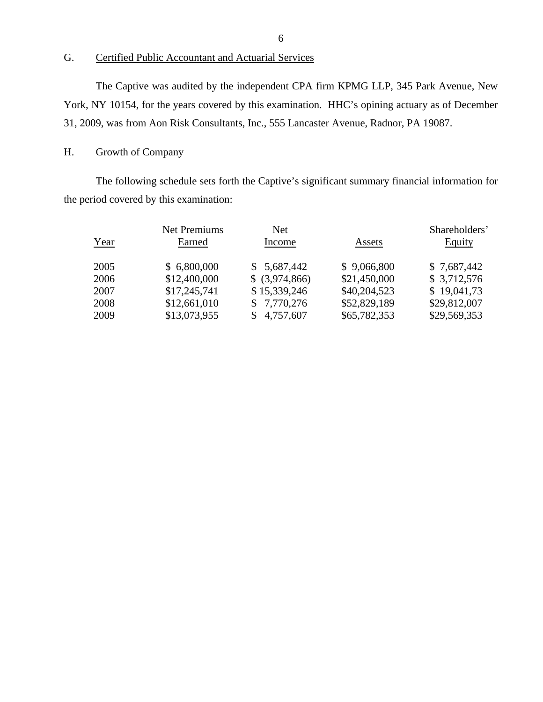# G. Certified Public Accountant and Actuarial Services

The Captive was audited by the independent CPA firm KPMG LLP, 345 Park Avenue, New York, NY 10154, for the years covered by this examination. HHC's opining actuary as of December 31, 2009, was from Aon Risk Consultants, Inc., 555 Lancaster Avenue, Radnor, PA 19087.

# H. Growth of Company

The following schedule sets forth the Captive's significant summary financial information for the period covered by this examination:

| Year | <b>Net Premiums</b><br>Earned | <b>Net</b><br>Income | Assets       | Shareholders'<br><b>Equity</b> |
|------|-------------------------------|----------------------|--------------|--------------------------------|
| 2005 | \$6,800,000                   | \$5,687,442          | \$9,066,800  | \$7,687,442                    |
| 2006 | \$12,400,000                  | $$$ (3,974,866)      | \$21,450,000 | \$3,712,576                    |
| 2007 | \$17,245,741                  | \$15,339,246         | \$40,204,523 | \$19,041,73                    |
| 2008 | \$12,661,010                  | \$7,770,276          | \$52,829,189 | \$29,812,007                   |
| 2009 | \$13,073,955                  | 4,757,607            | \$65,782,353 | \$29,569,353                   |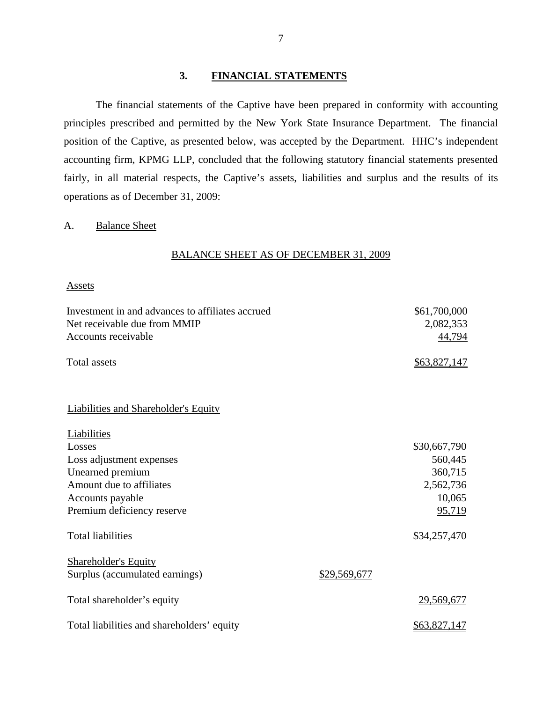# **3. FINANCIAL STATEMENTS**

The financial statements of the Captive have been prepared in conformity with accounting principles prescribed and permitted by the New York State Insurance Department. The financial position of the Captive, as presented below, was accepted by the Department. HHC's independent accounting firm, KPMG LLP, concluded that the following statutory financial statements presented fairly, in all material respects, the Captive's assets, liabilities and surplus and the results of its operations as of December 31, 2009:

# A. Balance Sheet

# BALANCE SHEET AS OF DECEMBER 31, 2009

#### **Assets**

| Investment in and advances to affiliates accrued<br>Net receivable due from MMIP |              | \$61,700,000        |
|----------------------------------------------------------------------------------|--------------|---------------------|
| Accounts receivable                                                              |              | 2,082,353<br>44,794 |
| <b>Total assets</b>                                                              |              | \$63,827,147        |
|                                                                                  |              |                     |
| <b>Liabilities and Shareholder's Equity</b>                                      |              |                     |
| Liabilities                                                                      |              |                     |
| Losses                                                                           |              | \$30,667,790        |
| Loss adjustment expenses                                                         |              | 560,445             |
| Unearned premium                                                                 |              | 360,715             |
| Amount due to affiliates                                                         |              | 2,562,736           |
| Accounts payable                                                                 |              | 10,065              |
| Premium deficiency reserve                                                       |              | 95,719              |
| <b>Total liabilities</b>                                                         |              | \$34,257,470        |
| <b>Shareholder's Equity</b>                                                      |              |                     |
| Surplus (accumulated earnings)                                                   | \$29,569,677 |                     |
| Total shareholder's equity                                                       |              | 29,569,677          |
| Total liabilities and shareholders' equity                                       |              | <u>\$63,827,147</u> |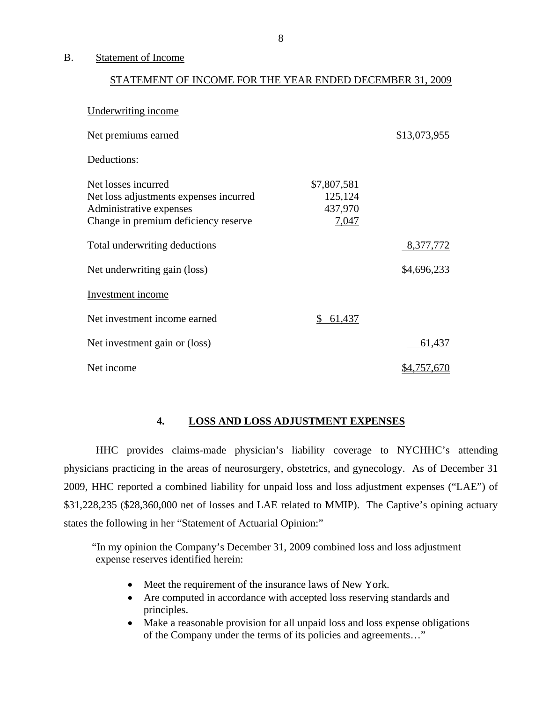#### <span id="page-9-0"></span>B. Statement of Income

#### STATEMENT OF INCOME FOR THE YEAR ENDED DECEMBER 31, 2009

| Underwriting income                                                                                                              |                                            |              |
|----------------------------------------------------------------------------------------------------------------------------------|--------------------------------------------|--------------|
| Net premiums earned                                                                                                              |                                            | \$13,073,955 |
| Deductions:                                                                                                                      |                                            |              |
| Net losses incurred<br>Net loss adjustments expenses incurred<br>Administrative expenses<br>Change in premium deficiency reserve | \$7,807,581<br>125,124<br>437,970<br>7,047 |              |
| Total underwriting deductions                                                                                                    |                                            | 8,377,772    |
| Net underwriting gain (loss)                                                                                                     |                                            | \$4,696,233  |
| <b>Investment</b> income                                                                                                         |                                            |              |
| Net investment income earned                                                                                                     | 61,437<br>\$                               |              |
| Net investment gain or (loss)                                                                                                    |                                            | 61,437       |
| Net income                                                                                                                       |                                            | \$4,757,670  |

# **4. LOSS AND LOSS ADJUSTMENT EXPENSES**

HHC provides claims-made physician's liability coverage to NYCHHC's attending physicians practicing in the areas of neurosurgery, obstetrics, and gynecology. As of December 31 2009, HHC reported a combined liability for unpaid loss and loss adjustment expenses ("LAE") of \$31,228,235 (\$28,360,000 net of losses and LAE related to MMIP). The Captive's opining actuary states the following in her "Statement of Actuarial Opinion:"

"In my opinion the Company's December 31, 2009 combined loss and loss adjustment expense reserves identified herein:

- Meet the requirement of the insurance laws of New York.
- Are computed in accordance with accepted loss reserving standards and principles.
- Make a reasonable provision for all unpaid loss and loss expense obligations of the Company under the terms of its policies and agreements…"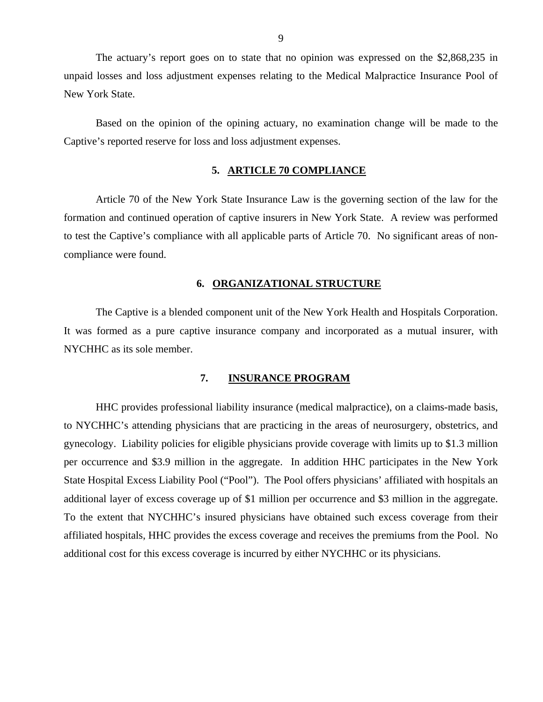<span id="page-10-0"></span>The actuary's report goes on to state that no opinion was expressed on the \$2,868,235 in unpaid losses and loss adjustment expenses relating to the Medical Malpractice Insurance Pool of New York State.

Based on the opinion of the opining actuary, no examination change will be made to the Captive's reported reserve for loss and loss adjustment expenses.

#### **5. ARTICLE 70 COMPLIANCE**

Article 70 of the New York State Insurance Law is the governing section of the law for the formation and continued operation of captive insurers in New York State. A review was performed to test the Captive's compliance with all applicable parts of Article 70. No significant areas of noncompliance were found.

# **6. ORGANIZATIONAL STRUCTURE**

The Captive is a blended component unit of the New York Health and Hospitals Corporation. It was formed as a pure captive insurance company and incorporated as a mutual insurer, with NYCHHC as its sole member.

#### **7. INSURANCE PROGRAM**

HHC provides professional liability insurance (medical malpractice), on a claims-made basis, to NYCHHC's attending physicians that are practicing in the areas of neurosurgery, obstetrics, and gynecology. Liability policies for eligible physicians provide coverage with limits up to \$1.3 million per occurrence and \$3.9 million in the aggregate. In addition HHC participates in the New York State Hospital Excess Liability Pool ("Pool"). The Pool offers physicians' affiliated with hospitals an additional layer of excess coverage up of \$1 million per occurrence and \$3 million in the aggregate. To the extent that NYCHHC's insured physicians have obtained such excess coverage from their affiliated hospitals, HHC provides the excess coverage and receives the premiums from the Pool. No additional cost for this excess coverage is incurred by either NYCHHC or its physicians.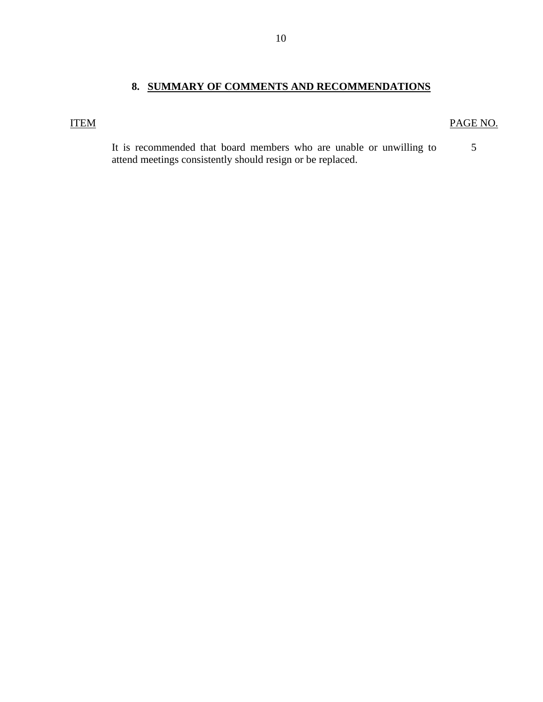# **8. SUMMARY OF COMMENTS AND RECOMMENDATIONS**

# <span id="page-11-0"></span>ITEM PAGE NO.

5

It is recommended that board members who are unable or unwilling to attend meetings consistently should resign or be replaced.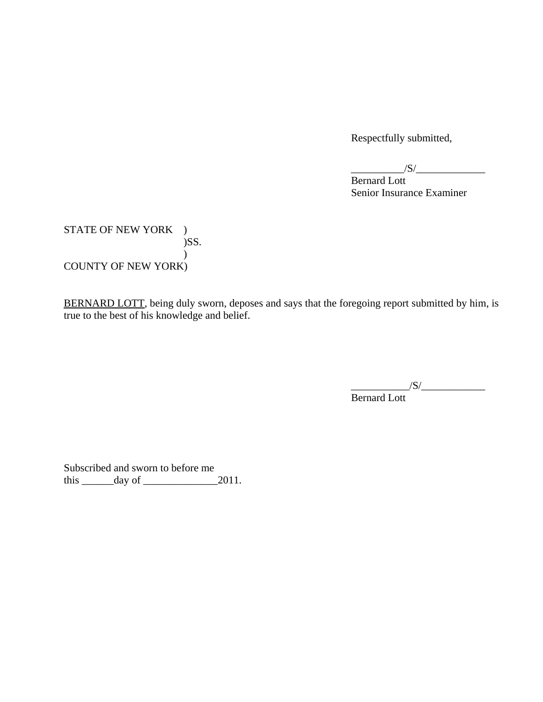Respectfully submitted,

 $\frac{1}{\sqrt{S}}$ 

 Bernard Lott Senior Insurance Examiner

STATE OF NEW YORK  $\quad$  ) )SS.  $\lambda$ COUNTY OF NEW YORK)

BERNARD LOTT, being duly sworn, deposes and says that the foregoing report submitted by him, is true to the best of his knowledge and belief.

 $\frac{|S|}{|S|}$ 

Bernard Lott

Subscribed and sworn to before me this  $\_\_\_\_\_\$  day of  $\_\_\_\_\_\_2$  2011.